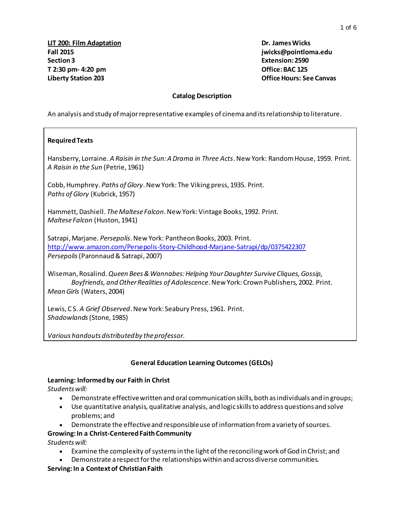### **Catalog Description**

An analysis and study of major representative examples of cinema and its relationship to literature.

### **Required Texts**

Hansberry, Lorraine. *A Raisin in the Sun: A Drama in Three Acts*. New York: Random House, 1959. Print. *A Raisin in the Sun* (Petrie, 1961)

Cobb, Humphrey. *Paths of Glory*. New York: The Viking press, 1935. Print. *Paths of Glory* (Kubrick, 1957)

Hammett, Dashiell. *The Maltese Falcon*. New York: Vintage Books, 1992. Print. *Maltese Falcon* (Huston, 1941)

Satrapi, Marjane. *Persepolis*. New York: Pantheon Books, 2003. Print. <http://www.amazon.com/Persepolis-Story-Childhood-Marjane-Satrapi/dp/0375422307> *Persepolis*(Paronnaud & Satrapi, 2007)

Wiseman, Rosalind. *Queen Bees & Wannabes: Helping Your Daughter Survive Cliques, Gossip, Boyfriends, and Other Realities of Adolescence*. New York: Crown Publishers, 2002. Print. *Mean Girls* (Waters, 2004)

Lewis, C S. *A Grief Observed*. New York: Seabury Press, 1961. Print. *Shadowlands*(Stone, 1985)

*Various handouts distributed by the professor.*

### **General Education Learning Outcomes (GELOs)**

## **Learning: Informed by our Faith in Christ**

*Students will:*

- Demonstrate effective written and oral communication skills, both as individuals and in groups;
- Use quantitative analysis, qualitative analysis, and logic skills to address questions and solve problems; and
	- Demonstrate the effective and responsible use of information from a variety of sources.

# **Growing: In a Christ-Centered Faith Community**

*Students will:*

- Examine the complexity of systems in the light of the reconciling work of God in Christ; and
- Demonstrate a respect for the relationships within and across diverse communities.

### **Serving: In a Context of Christian Faith**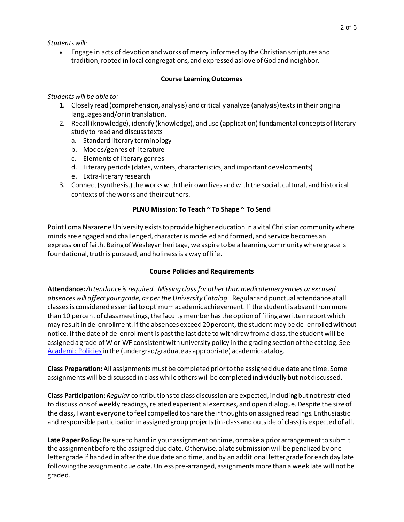*Students will:*

 Engage in acts of devotion and works of mercy informed by the Christian scriptures and tradition, rooted in local congregations, and expressed as love of God and neighbor.

## **Course Learning Outcomes**

## *Students will be able to:*

- 1. Closely read (comprehension, analysis) and critically analyze (analysis) texts in their original languages and/or in translation.
- 2. Recall (knowledge), identify (knowledge), and use (application) fundamental concepts of literary study to read and discuss texts
	- a. Standard literary terminology
	- b. Modes/genres of literature
	- c. Elements of literary genres
	- d. Literary periods (dates, writers, characteristics, and important developments)
	- e. Extra-literary research
- 3. Connect (synthesis,) the works with their own lives and with the social, cultural, and historical contexts of the works and their authors.

# **PLNU Mission: To Teach ~ To Shape ~ To Send**

Point Loma Nazarene University exists to provide higher education in a vital Christian community where minds are engaged and challenged, character is modeled and formed, and service becomes an expression of faith. Being of Wesleyan heritage, we aspire to be a learning community where grace is foundational, truth is pursued, and holiness is a way of life.

# **Course Policies and Requirements**

**Attendance:** *Attendance is required. Missing class for other than medical emergencies or excused absences will affect your grade, as per the University Catalog.* Regular and punctual attendance at all classes is considered essential to optimum academic achievement. If the student is absent from more than 10 percent of class meetings, the faculty member has the option of filing a written report which may result in de-enrollment. If the absences exceed 20 percent, the student may be de-enrolled without notice. If the date of de-enrollment is past the last date to withdraw from a class, the student will be assigned a grade of W or WF consistent with university policy in the grading section of the catalog. See [Academic Policies](http://catalog.pointloma.edu/index.php) in the (undergrad/graduate as appropriate) academic catalog.

**Class Preparation:** All assignments must be completed prior to the assigned due date and time. Some assignments will be discussed in class while others will be completed individually but not discussed.

**Class Participation:** *Regular* contributions to class discussion are expected, including but not restricted to discussions of weekly readings, related experiential exercises, and open dialogue. Despite the size of the class, I want everyone to feel compelled to share their thoughts on assigned readings. Enthusiastic and responsible participation in assigned group projects (in-class and outside of class) is expected of all.

**Late Paper Policy:** Be sure to hand in your assignment on time, or make a prior arrangement to submit the assignment before the assigned due date. Otherwise, a late submission will be penalized by one letter grade if handed in after the due date and time, and by an additional letter grade for each day late following the assignment due date. Unless pre-arranged, assignments more than a week late will not be graded.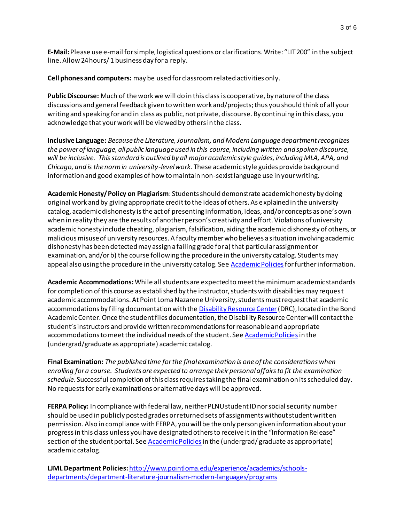**E-Mail:**Please use e-mail for simple, logistical questions or clarifications. Write: "LIT 200" in the subject line. Allow 24 hours/ 1 business day for a reply.

**Cell phones and computers:** may be used for classroom related activities only.

**Public Discourse:** Much of the work we will do in this class is cooperative, by nature of the class discussions and general feedback given to written work and/projects; thus you should think of all your writing and speaking for and in class as public, not private, discourse. By continuing in this class, you acknowledge that your work will be viewed by others in the class.

**Inclusive Language:** *Because the Literature, Journalism, and Modern Language department recognizes the power of language, all public language used in this course, including written and spoken discourse, will be inclusive. This standard is outlined by all major academic style guides, including MLA, APA, and Chicago, and is the norm in university-level work.* These academic style guides provide background information and good examples of how to maintain non-sexist language use in your writing.

**Academic Honesty/ Policy on Plagiarism**: Students should demonstrate academic honesty by doing original work and by giving appropriate credit to the ideas of others. As explained in the university catalog, academic dishonesty is the act of presenting information, ideas, and/or concepts as one's own when in reality they are the results of another person's creativity and effort. Violations of university academic honesty include cheating, plagiarism, falsification, aiding the academic dishonesty of others, or malicious misuse of university resources. A faculty member who believes a situation involving academic dishonesty has been detected may assign a failing grade for a) that particular assignment or examination, and/or b) the course following the procedure in the university catalog. Students may appeal also using the procedure in the university catalog. Se[e Academic Policies](http://www.pointloma.edu/experience/academics/catalogs/undergraduate-catalog/point-loma-education/academic-policies) for further information.

**Academic Accommodations:** While all students are expected to meet the minimum academic standards for completion of this course as established by the instructor, students with disabilities may request academic accommodations. At Point Loma Nazarene University, students must request that academic accommodations by filing documentation with th[e Disability Resource Center](http://www.pointloma.edu/experience/offices/administrative-offices/academic-advising-office/disability-resource-center)(DRC), located in the Bond Academic Center. Once the student files documentation, the Disability Resource Center will contact the student's instructors and provide written recommendations for reasonable and appropriate accommodations to meet the individual needs of the student. Se[e Academic Policies](http://www.pointloma.edu/experience/academics/catalogs/undergraduate-catalog/point-loma-education/academic-policies) in the (undergrad/graduate as appropriate) academic catalog.

**Final Examination:** *The published time for the final examination is one of the considerations when enrolling for a course. Students are expected to arrange their personal affairs to fit the examination schedule.* Successful completion of this class requires taking the final examination on its scheduled day. No requests for early examinations or alternative days will be approved.

**FERPA Policy:** In compliance with federal law, neither PLNU student ID nor social security number should be used in publicly posted grades or returned sets of assignments without student written permission. Also in compliance with FERPA, you will be the only person given information about your progress in this class unless you have designated others to receive it in the "Information Release" section of the student portal. Se[e Academic Policies](http://catalog.pointloma.edu/index.php)in the (undergrad/ graduate as appropriate) academic catalog.

**LJML Department Policies:** [http://www.pointloma.edu/experience/academics/schools](http://www.pointloma.edu/experience/academics/schools-departments/department-literature-journalism-modern-languages/programs)[departments/department-literature-journalism-modern-languages/programs](http://www.pointloma.edu/experience/academics/schools-departments/department-literature-journalism-modern-languages/programs)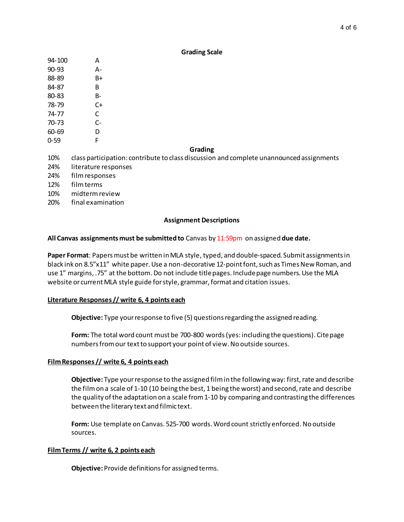|           | -----o -----                                                                             |  |  |  |
|-----------|------------------------------------------------------------------------------------------|--|--|--|
| 94-100    | A                                                                                        |  |  |  |
| $90 - 93$ | А-                                                                                       |  |  |  |
| 88-89     | B+                                                                                       |  |  |  |
| 84-87     | B                                                                                        |  |  |  |
| 80-83     | B-                                                                                       |  |  |  |
| 78-79     | $C+$                                                                                     |  |  |  |
| 74-77     | C                                                                                        |  |  |  |
| 70-73     | $C-$                                                                                     |  |  |  |
| 60-69     | D                                                                                        |  |  |  |
| $0 - 59$  | F                                                                                        |  |  |  |
|           | Grading                                                                                  |  |  |  |
| 10%       | class participation: contribute to class discussion and complete unannounced assignments |  |  |  |
| 24%       | literature responses                                                                     |  |  |  |
| 24%       | film responses                                                                           |  |  |  |
| 12%       | film terms                                                                               |  |  |  |
| 10%       | midterm review                                                                           |  |  |  |
| 20%       | final examination                                                                        |  |  |  |

#### **Assignment Descriptions**

**Grading Scale**

### **All Canvas assignments must be submitted to** Canvas by 11:59pm on assigned **due date.**

**Paper Format**: Papers must be written in MLA style, typed, and double-spaced. Submit assignments in black ink on 8.5"x11" white paper. Use a non-decorative 12-point font, such as Times New Roman, and use 1" margins, .75" at the bottom. Do not include title pages. Include page numbers. Use the MLA website or current MLA style guide for style, grammar, format and citation issues.

#### **Literature Responses // write 6, 4 points each**

**Objective:** Type your response to five (5) questions regarding the assigned reading.

**Form:** The total word count must be 700-800 words (yes: including the questions). Cite page numbers from our text to support your point of view. No outside sources.

### **Film Responses // write 6, 4 points each**

**Objective:** Type your response to the assigned film in the following way: first,rate and describe the film on a scale of 1-10 (10 being the best, 1 being the worst) and second, rate and describe the quality of the adaptation on a scale from 1-10 by comparing and contrasting the differences between the literary text and filmic text.

**Form:** Use template on Canvas. 525-700 words. Word count strictly enforced. No outside sources.

### **Film Terms // write 6, 2 points each**

**Objective:** Provide definitions for assigned terms.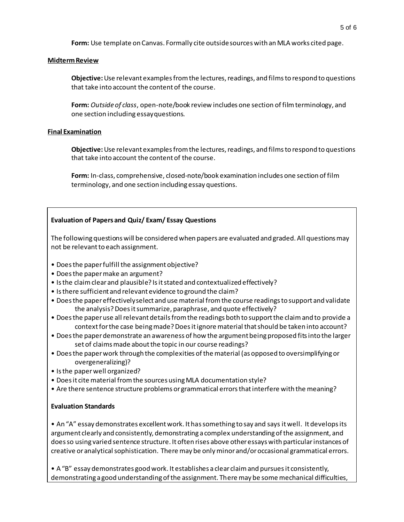**Form:** Use template on Canvas. Formally cite outside sources with an MLA works cited page.

## **Midterm Review**

**Objective:** Use relevant examples from the lectures, readings, and films to respond to questions that take into account the content of the course.

**Form:** *Outside of class*, open-note/book review includes one section of film terminology, and one section including essay questions.

## **Final Examination**

**Objective:** Use relevant examples from the lectures, readings, and films to respond to questions that take into account the content of the course.

**Form:** In-class, comprehensive, closed-note/book examination includes one section of film terminology, and one section including essay questions.

# **Evaluation of Papers and Quiz/ Exam/ Essay Questions**

The following questions will be considered when papers are evaluated and graded. All questions may not be relevant to each assignment.

- Does the paper fulfill the assignment objective?
- Does the paper make an argument?
- Is the claim clear and plausible? Is it stated and contextualized effectively?
- Is there sufficient and relevant evidence to ground the claim?
- Does the paper effectively select and use material from the course readings to support and validate the analysis? Does it summarize, paraphrase, and quote effectively?
- Does the paper use all relevant details from the readings both to support the claim and to provide a context for the case being made? Does it ignore material that should be taken into account?
- Does the paper demonstrate an awareness of how the argument being proposed fits into the larger set of claims made about the topic in our course readings?
- Does the paper work through the complexities of the material (as opposed to oversimplifying or overgeneralizing)?
- Is the paper well organized?
- Does it cite material from the sources using MLA documentation style?
- Are there sentence structure problems or grammatical errors that interfere with the meaning?

# **Evaluation Standards**

• An "A" essay demonstrates excellent work. It has something to say and says it well. It develops its argument clearly and consistently, demonstrating a complex understanding of the assignment, and does so using varied sentence structure. It often rises above other essays with particular instances of creative or analytical sophistication. There may be only minor and/or occasional grammatical errors.

• A "B" essay demonstrates good work. It establishes a clear claim and pursues it consistently, demonstrating a good understanding of the assignment. There may be some mechanical difficulties,